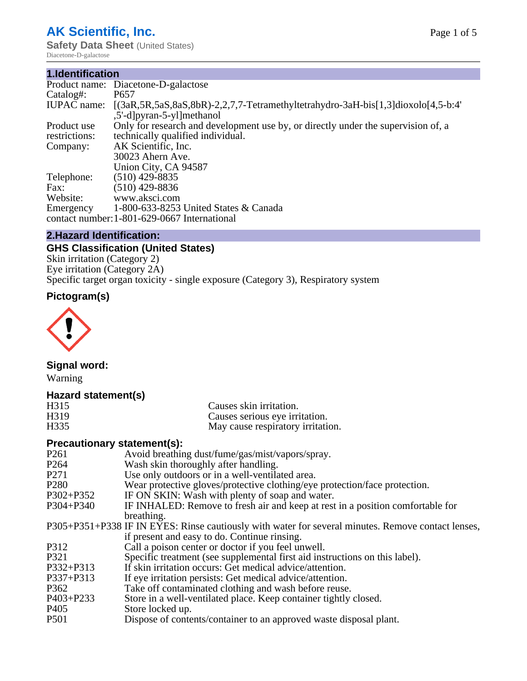## **AK Scientific, Inc.**

**Safety Data Sheet** (United States) Diacetone-D-galactose

#### **1.Identification**

|                    | Product name: Diacetone-D-galactose                                                                |  |
|--------------------|----------------------------------------------------------------------------------------------------|--|
| Catalog#:          | P <sub>657</sub>                                                                                   |  |
| <b>IUPAC</b> name: | $[(3aR, 5R, 5aS, 8aS, 8bR)-2, 2, 7, 7]$ -Tetramethyltetrahydro-3aH-bis $[1,3]$ dioxolo $[4,5-b.4]$ |  |
|                    | ,5'-d]pyran-5-yl]methanol                                                                          |  |
| Product use        | Only for research and development use by, or directly under the supervision of, a                  |  |
| restrictions:      | technically qualified individual.                                                                  |  |
| Company:           | AK Scientific, Inc.                                                                                |  |
|                    | 30023 Ahern Ave.                                                                                   |  |
|                    | Union City, CA 94587                                                                               |  |
| Telephone:         | $(510)$ 429-8835                                                                                   |  |
| Fax:               | $(510)$ 429-8836                                                                                   |  |
| Website:           | www.aksci.com                                                                                      |  |
| Emergency          | 1-800-633-8253 United States & Canada                                                              |  |
|                    | contact number: 1-801-629-0667 International                                                       |  |

#### **2.Hazard Identification:**

### **GHS Classification (United States)**

Skin irritation (Category 2) Eye irritation (Category 2A) Specific target organ toxicity - single exposure (Category 3), Respiratory system

## **Pictogram(s)**



#### **Signal word:**

Warning

#### **Hazard statement(s)**

| H315              | Causes skin irritation.           |
|-------------------|-----------------------------------|
| H <sub>3</sub> 19 | Causes serious eye irritation.    |
| H <sub>335</sub>  | May cause respiratory irritation. |

#### **Precautionary statement(s):**

| P <sub>261</sub> | Avoid breathing dust/fume/gas/mist/vapors/spray.                                                   |
|------------------|----------------------------------------------------------------------------------------------------|
| P <sub>264</sub> | Wash skin thoroughly after handling.                                                               |
| P <sub>271</sub> | Use only outdoors or in a well-ventilated area.                                                    |
| P <sub>280</sub> | Wear protective gloves/protective clothing/eye protection/face protection.                         |
| P302+P352        | IF ON SKIN: Wash with plenty of soap and water.                                                    |
| $P304 + P340$    | IF INHALED: Remove to fresh air and keep at rest in a position comfortable for                     |
|                  | breathing.                                                                                         |
|                  | P305+P351+P338 IF IN EYES: Rinse cautiously with water for several minutes. Remove contact lenses, |
|                  | if present and easy to do. Continue rinsing.                                                       |
| P312             | Call a poison center or doctor if you feel unwell.                                                 |
| P321             | Specific treatment (see supplemental first aid instructions on this label).                        |
| P332+P313        | If skin irritation occurs: Get medical advice/attention.                                           |
| $P337 + P313$    | If eye irritation persists: Get medical advice/attention.                                          |
| P362             | Take off contaminated clothing and wash before reuse.                                              |
| P403+P233        | Store in a well-ventilated place. Keep container tightly closed.                                   |
| P <sub>405</sub> | Store locked up.                                                                                   |
| P <sub>501</sub> | Dispose of contents/container to an approved waste disposal plant.                                 |
|                  |                                                                                                    |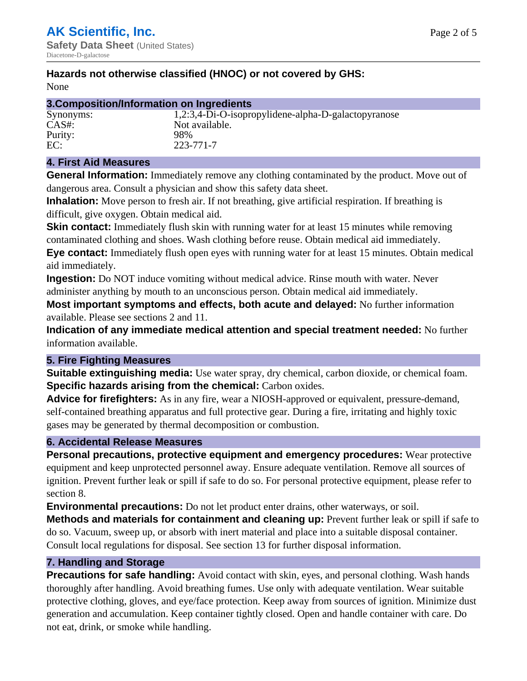#### **Hazards not otherwise classified (HNOC) or not covered by GHS:**

None

|  |  |  |  | 3. Composition/Information on Ingredients |  |  |
|--|--|--|--|-------------------------------------------|--|--|
|--|--|--|--|-------------------------------------------|--|--|

# Purity:

Synonyms: 1,2:3,4-Di-O-isopropylidene-alpha-D-galactopyranose CAS#: Not available.<br>Purity: 98% EC: 223-771-7

#### **4. First Aid Measures**

**General Information:** Immediately remove any clothing contaminated by the product. Move out of dangerous area. Consult a physician and show this safety data sheet.

**Inhalation:** Move person to fresh air. If not breathing, give artificial respiration. If breathing is difficult, give oxygen. Obtain medical aid.

**Skin contact:** Immediately flush skin with running water for at least 15 minutes while removing contaminated clothing and shoes. Wash clothing before reuse. Obtain medical aid immediately. **Eye contact:** Immediately flush open eyes with running water for at least 15 minutes. Obtain medical aid immediately.

**Ingestion:** Do NOT induce vomiting without medical advice. Rinse mouth with water. Never administer anything by mouth to an unconscious person. Obtain medical aid immediately.

**Most important symptoms and effects, both acute and delayed:** No further information available. Please see sections 2 and 11.

**Indication of any immediate medical attention and special treatment needed:** No further information available.

#### **5. Fire Fighting Measures**

**Suitable extinguishing media:** Use water spray, dry chemical, carbon dioxide, or chemical foam. **Specific hazards arising from the chemical:** Carbon oxides.

**Advice for firefighters:** As in any fire, wear a NIOSH-approved or equivalent, pressure-demand, self-contained breathing apparatus and full protective gear. During a fire, irritating and highly toxic gases may be generated by thermal decomposition or combustion.

#### **6. Accidental Release Measures**

**Personal precautions, protective equipment and emergency procedures:** Wear protective equipment and keep unprotected personnel away. Ensure adequate ventilation. Remove all sources of ignition. Prevent further leak or spill if safe to do so. For personal protective equipment, please refer to section 8.

**Environmental precautions:** Do not let product enter drains, other waterways, or soil.

**Methods and materials for containment and cleaning up:** Prevent further leak or spill if safe to do so. Vacuum, sweep up, or absorb with inert material and place into a suitable disposal container. Consult local regulations for disposal. See section 13 for further disposal information.

#### **7. Handling and Storage**

**Precautions for safe handling:** Avoid contact with skin, eyes, and personal clothing. Wash hands thoroughly after handling. Avoid breathing fumes. Use only with adequate ventilation. Wear suitable protective clothing, gloves, and eye/face protection. Keep away from sources of ignition. Minimize dust generation and accumulation. Keep container tightly closed. Open and handle container with care. Do not eat, drink, or smoke while handling.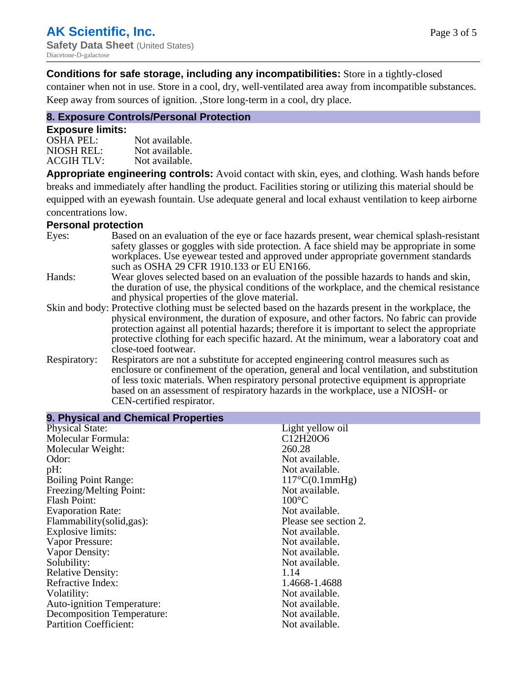#### **Conditions for safe storage, including any incompatibilities:** Store in a tightly-closed

container when not in use. Store in a cool, dry, well-ventilated area away from incompatible substances. Keep away from sources of ignition. ,Store long-term in a cool, dry place.

#### **8. Exposure Controls/Personal Protection**

#### **Exposure limits:**

| <b>OSHA PEL:</b>  | Not available. |
|-------------------|----------------|
| NIOSH REL:        | Not available. |
| <b>ACGIH TLV:</b> | Not available. |

**Appropriate engineering controls:** Avoid contact with skin, eyes, and clothing. Wash hands before breaks and immediately after handling the product. Facilities storing or utilizing this material should be equipped with an eyewash fountain. Use adequate general and local exhaust ventilation to keep airborne concentrations low.

#### **Personal protection**

| Eyes:        | Based on an evaluation of the eye or face hazards present, wear chemical splash-resistant<br>safety glasses or goggles with side protection. A face shield may be appropriate in some |
|--------------|---------------------------------------------------------------------------------------------------------------------------------------------------------------------------------------|
|              | workplaces. Use eyewear tested and approved under appropriate government standards<br>such as OSHA 29 CFR 1910.133 or EU EN166.                                                       |
| Hands:       | Wear gloves selected based on an evaluation of the possible hazards to hands and skin,                                                                                                |
|              | the duration of use, the physical conditions of the workplace, and the chemical resistance                                                                                            |
|              | and physical properties of the glove material.                                                                                                                                        |
|              | Skin and body: Protective clothing must be selected based on the hazards present in the workplace, the                                                                                |
|              | physical environment, the duration of exposure, and other factors. No fabric can provide                                                                                              |
|              | protection against all potential hazards; therefore it is important to select the appropriate                                                                                         |
|              | protective clothing for each specific hazard. At the minimum, wear a laboratory coat and                                                                                              |
|              | close-toed footwear.                                                                                                                                                                  |
| Respiratory: | Respirators are not a substitute for accepted engineering control measures such as<br>enclosure or confinement of the operation, general and local ventilation, and substitution      |
|              | of less toxic materials. When respiratory personal protective equipment is appropriate                                                                                                |
|              | based on an assessment of respiratory hazards in the workplace, use a NIOSH- or                                                                                                       |
|              | CEN-certified respirator.                                                                                                                                                             |

| 9. Physical and Chemical Properties |                                                |
|-------------------------------------|------------------------------------------------|
| <b>Physical State:</b>              | Light yellow oil                               |
| Molecular Formula:                  | C <sub>12</sub> H <sub>20</sub> O <sub>6</sub> |
| Molecular Weight:                   | 260.28                                         |
| Odor:                               | Not available.                                 |
| pH:                                 | Not available.                                 |
| <b>Boiling Point Range:</b>         | $117^{\circ}C(0.1mmHg)$                        |
| Freezing/Melting Point:             | Not available.                                 |
| <b>Flash Point:</b>                 | $100^{\circ}$ C                                |
| <b>Evaporation Rate:</b>            | Not available.                                 |
| Flammability(solid,gas):            | Please see section 2.                          |
| Explosive limits:                   | Not available.                                 |
| Vapor Pressure:                     | Not available.                                 |
| Vapor Density:                      | Not available.                                 |
| Solubility:                         | Not available.                                 |
| <b>Relative Density:</b>            | 1.14                                           |
| Refractive Index:                   | 1.4668-1.4688                                  |
| Volatility:                         | Not available.                                 |
| <b>Auto-ignition Temperature:</b>   | Not available.                                 |
| Decomposition Temperature:          | Not available.                                 |
| <b>Partition Coefficient:</b>       | Not available.                                 |
|                                     |                                                |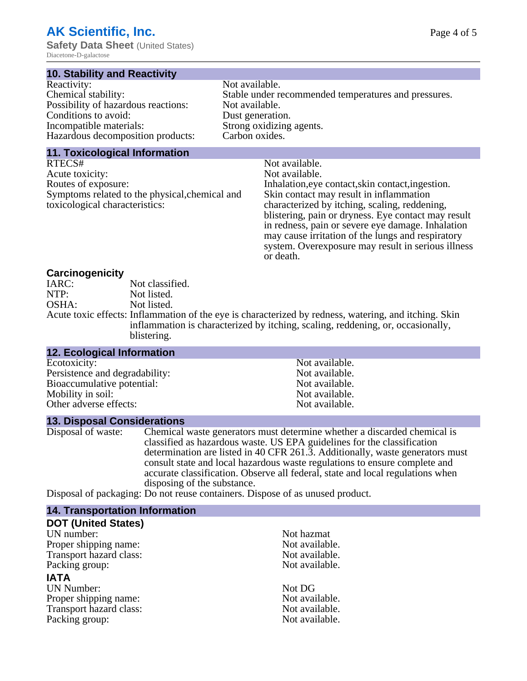# **AK Scientific, Inc.**

**Safety Data Sheet** (United States) Diacetone-D-galactose

#### **10. Stability and Reactivity**

| Reactivity:                         | Not available.                                       |
|-------------------------------------|------------------------------------------------------|
| Chemical stability:                 | Stable under recommended temperatures and pressures. |
| Possibility of hazardous reactions: | Not available.                                       |
| Conditions to avoid:                | Dust generation.                                     |
| Incompatible materials:             | Strong oxidizing agents.                             |
| Hazardous decomposition products:   | Carbon oxides.                                       |
|                                     |                                                      |

#### **11. Toxicological Information**

| RTECS#                                         | Not available.                                      |
|------------------------------------------------|-----------------------------------------------------|
| Acute toxicity:                                | Not available.                                      |
| Routes of exposure:                            | Inhalation, eye contact, skin contact, ingestion.   |
| Symptoms related to the physical, chemical and | Skin contact may result in inflammation             |
| toxicological characteristics:                 | characterized by itching, scaling, reddening,       |
|                                                | blistering, pain or dryness. Eye contact may result |
|                                                | in redness, pain or severe eye damage. Inhalation   |
|                                                | may cause irritation of the lungs and respiratory   |
|                                                | system. Overexposure may result in serious illness  |

or death.

#### **Carcinogenicity**

| IARC: | Not classified.                                                                                       |
|-------|-------------------------------------------------------------------------------------------------------|
| NTP:  | Not listed.                                                                                           |
| OSHA: | Not listed.                                                                                           |
|       | Acute toxic effects: Inflammation of the eye is characterized by redness, watering, and itching. Skin |
|       | inflammation is characterized by itching, scaling, reddening, or, occasionally,                       |
|       | blistering.                                                                                           |

| <b>12. Ecological Information</b> |                |  |
|-----------------------------------|----------------|--|
| Ecotoxicity:                      | Not available. |  |
| Persistence and degradability:    | Not available. |  |
| Bioaccumulative potential:        | Not available. |  |
| Mobility in soil:                 | Not available. |  |
| Other adverse effects:            | Not available. |  |

#### **13. Disposal Considerations**

Disposal of waste: Chemical waste generators must determine whether a discarded chemical is classified as hazardous waste. US EPA guidelines for the classification determination are listed in 40 CFR 261.3. Additionally, waste generators must consult state and local hazardous waste regulations to ensure complete and accurate classification. Observe all federal, state and local regulations when disposing of the substance.

Disposal of packaging: Do not reuse containers. Dispose of as unused product.

| Not hazmat     |
|----------------|
| Not available. |
| Not available. |
| Not available. |
|                |
| Not DG         |
| Not available. |
| Not available. |
| Not available. |
|                |